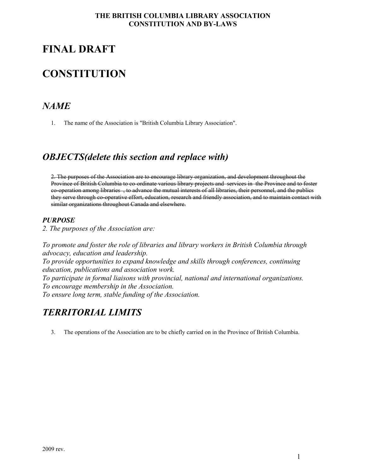# **FINAL DRAFT**

# **CONSTITUTION**

# *NAME*

1. The name of the Association is "British Columbia Library Association".

# *OBJECTS(delete this section and replace with)*

2. The purposes of the Association are to encourage library organization, and development throughout the Province of British Columbia to co-ordinate various library projects and services in the Province and to foster co-operation among libraries , to advance the mutual interests of all libraries, their personnel, and the publics they serve through co-operative effort, education, research and friendly association, and to maintain contact with similar organizations throughout Canada and elsewhere.

# *PURPOSE*

*2. The purposes of the Association are:* 

*To promote and foster the role of libraries and library workers in British Columbia through advocacy, education and leadership. To provide opportunities to expand knowledge and skills through conferences, continuing education, publications and association work. To participate in formal liaisons with provincial, national and international organizations. To encourage membership in the Association. To ensure long term, stable funding of the Association.* 

# *TERRITORIAL LIMITS*

3. The operations of the Association are to be chiefly carried on in the Province of British Columbia.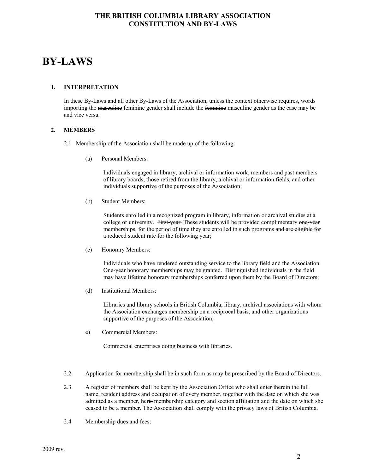# **BY-LAWS**

#### **1. INTERPRETATION**

In these By-Laws and all other By-Laws of the Association, unless the context otherwise requires, words importing the <del>masculine</del> feminine gender shall include the feminine masculine gender as the case may be and vice versa.

#### **2. MEMBERS**

- 2.1 Membership of the Association shall be made up of the following:
	- (a) Personal Members:

Individuals engaged in library, archival or information work, members and past members of library boards, those retired from the library, archival or information fields, and other individuals supportive of the purposes of the Association;

(b) Student Members:

Students enrolled in a recognized program in library, information or archival studies at a college or university. First-year These students will be provided complimentary one-year memberships, for the period of time they are enrolled in such programs and are eligible for a reduced student rate for the following year;

(c) Honorary Members:

Individuals who have rendered outstanding service to the library field and the Association. One-year honorary memberships may be granted. Distinguished individuals in the field may have lifetime honorary memberships conferred upon them by the Board of Directors;

(d) Institutional Members:

Libraries and library schools in British Columbia, library, archival associations with whom the Association exchanges membership on a reciprocal basis, and other organizations supportive of the purposes of the Association;

e) Commercial Members:

Commercial enterprises doing business with libraries.

- 2.2 Application for membership shall be in such form as may be prescribed by the Board of Directors.
- 2.3 A register of members shall be kept by the Association Office who shall enter therein the full name, resident address and occupation of every member, together with the date on which she was admitted as a member, her<del>is</del> membership category and section affiliation and the date on which she ceased to be a member. The Association shall comply with the privacy laws of British Columbia.
- 2.4 Membership dues and fees: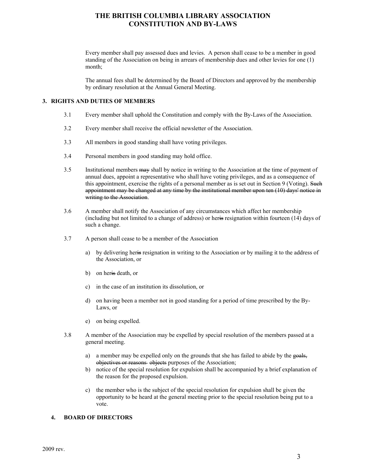Every member shall pay assessed dues and levies. A person shall cease to be a member in good standing of the Association on being in arrears of membership dues and other levies for one (1) month;

The annual fees shall be determined by the Board of Directors and approved by the membership by ordinary resolution at the Annual General Meeting.

#### **3. RIGHTS AND DUTIES OF MEMBERS**

- 3.1 Every member shall uphold the Constitution and comply with the By-Laws of the Association.
- 3.2 Every member shall receive the official newsletter of the Association.
- 3.3 All members in good standing shall have voting privileges.
- 3.4 Personal members in good standing may hold office.
- 3.5 Institutional members may shall by notice in writing to the Association at the time of payment of annual dues, appoint a representative who shall have voting privileges, and as a consequence of this appointment, exercise the rights of a personal member as is set out in Section 9 (Voting). Such appointment may be changed at any time by the institutional member upon ten (10) days' notice in writing to the Association.
- 3.6 A member shall notify the Association of any circumstances which affect her membership (including but not limited to a change of address) or heris resignation within fourteen (14) days of such a change.
- 3.7 A person shall cease to be a member of the Association
	- a) by delivering heris resignation in writing to the Association or by mailing it to the address of the Association, or
	- b) on heris death, or
	- c) in the case of an institution its dissolution, or
	- d) on having been a member not in good standing for a period of time prescribed by the By-Laws, or
	- e) on being expelled.
- 3.8 A member of the Association may be expelled by special resolution of the members passed at a general meeting.
	- a) a member may be expelled only on the grounds that she has failed to abide by the goals, objectives or reasons objects purposes of the Association;
	- b) notice of the special resolution for expulsion shall be accompanied by a brief explanation of the reason for the proposed expulsion.
	- c) the member who is the subject of the special resolution for expulsion shall be given the opportunity to be heard at the general meeting prior to the special resolution being put to a vote.

#### **4. BOARD OF DIRECTORS**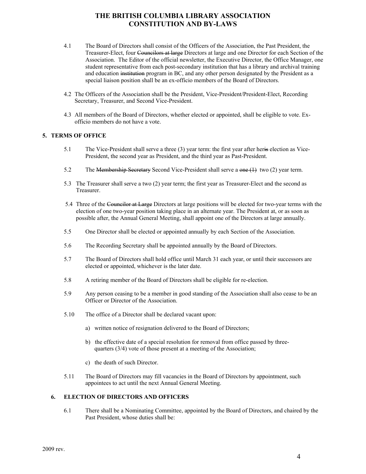- 4.1 The Board of Directors shall consist of the Officers of the Association, the Past President, the Treasurer-Elect, four Councilors at large Directors at large and one Director for each Section of the Association. The Editor of the official newsletter, the Executive Director, the Office Manager, one student representative from each post-secondary institution that has a library and archival training and education institution program in BC, and any other person designated by the President as a special liaison position shall be an ex-officio members of the Board of Directors.
- 4.2 The Officers of the Association shall be the President, Vice-President/President-Elect, Recording Secretary, Treasurer, and Second Vice-President.
- 4.3 All members of the Board of Directors, whether elected or appointed, shall be eligible to vote. Exofficio members do not have a vote.

#### **5. TERMS OF OFFICE**

- 5.1 The Vice-President shall serve a three (3) year term: the first year after heris election as Vice-President, the second year as President, and the third year as Past-President.
- 5.2 The Membership Secretary Second Vice-President shall serve a one (1) two (2) year term.
- 5.3 The Treasurer shall serve a two (2) year term; the first year as Treasurer-Elect and the second as Treasurer.
- 5.4 Three of the Councilor at Large Directors at large positions will be elected for two-year terms with the election of one two-year position taking place in an alternate year. The President at, or as soon as possible after, the Annual General Meeting, shall appoint one of the Directors at large annually.
- 5.5 One Director shall be elected or appointed annually by each Section of the Association.
- 5.6 The Recording Secretary shall be appointed annually by the Board of Directors.
- 5.7 The Board of Directors shall hold office until March 31 each year, or until their successors are elected or appointed, whichever is the later date.
- 5.8 A retiring member of the Board of Directors shall be eligible for re-election.
- 5.9 Any person ceasing to be a member in good standing of the Association shall also cease to be an Officer or Director of the Association.
- 5.10 The office of a Director shall be declared vacant upon:
	- a) written notice of resignation delivered to the Board of Directors;
	- b) the effective date of a special resolution for removal from office passed by three quarters (3/4) vote of those present at a meeting of the Association;
	- c) the death of such Director.
- 5.11 The Board of Directors may fill vacancies in the Board of Directors by appointment, such appointees to act until the next Annual General Meeting.

#### **6. ELECTION OF DIRECTORS AND OFFICERS**

6.1 There shall be a Nominating Committee, appointed by the Board of Directors, and chaired by the Past President, whose duties shall be: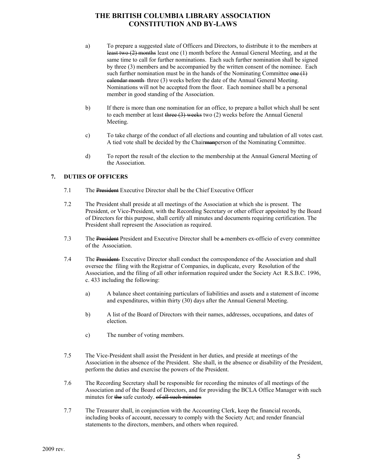- a) To prepare a suggested slate of Officers and Directors, to distribute it to the members at least two (2) months least one (1) month before the Annual General Meeting, and at the same time to call for further nominations. Each such further nomination shall be signed by three (3) members and be accompanied by the written consent of the nominee. Each such further nomination must be in the hands of the Nominating Committee  $\theta$ calendar month three (3) weeks before the date of the Annual General Meeting. Nominations will not be accepted from the floor. Each nominee shall be a personal member in good standing of the Association.
- b) If there is more than one nomination for an office, to prepare a ballot which shall be sent to each member at least three (3) weeks two (2) weeks before the Annual General Meeting.
- c) To take charge of the conduct of all elections and counting and tabulation of all votes cast. A tied vote shall be decided by the Chairman person of the Nominating Committee.
- d) To report the result of the election to the membership at the Annual General Meeting of the Association.

#### **7. DUTIES OF OFFICERS**

- 7.1 The President Executive Director shall be the Chief Executive Officer
- 7.2 The President shall preside at all meetings of the Association at which she is present. The President, or Vice-President, with the Recording Secretary or other officer appointed by the Board of Directors for this purpose, shall certify all minutes and documents requiring certification. The President shall represent the Association as required.
- 7.3 The President President and Executive Director shall be a members ex-officio of every committee of the Association.
- 7.4 The President Executive Director shall conduct the correspondence of the Association and shall oversee the filing with the Registrar of Companies, in duplicate, every Resolution of the Association, and the filing of all other information required under the Society Act R.S.B.C. 1996, c. 433 including the following:
	- a) A balance sheet containing particulars of liabilities and assets and a statement of income and expenditures, within thirty (30) days after the Annual General Meeting.
	- b) A list of the Board of Directors with their names, addresses, occupations, and dates of election.
	- c) The number of voting members.
- 7.5 The Vice-President shall assist the President in her duties, and preside at meetings of the Association in the absence of the President. She shall, in the absence or disability of the President, perform the duties and exercise the powers of the President.
- 7.6 The Recording Secretary shall be responsible for recording the minutes of all meetings of the Association and of the Board of Directors, and for providing the BCLA Office Manager with such minutes for the safe custody. of all such minutes
- 7.7 The Treasurer shall, in conjunction with the Accounting Clerk, keep the financial records, including books of account, necessary to comply with the Society Act; and render financial statements to the directors, members, and others when required.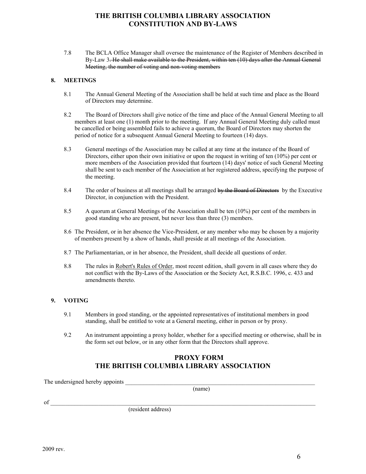7.8 The BCLA Office Manager shall oversee the maintenance of the Register of Members described in By-Law 3. He shall make available to the President, within ten (10) days after the Annual General Meeting, the number of voting and non-voting members

#### **8. MEETINGS**

- 8.1 The Annual General Meeting of the Association shall be held at such time and place as the Board of Directors may determine.
- 8.2 The Board of Directors shall give notice of the time and place of the Annual General Meeting to all members at least one (1) month prior to the meeting. If any Annual General Meeting duly called must be cancelled or being assembled fails to achieve a quorum, the Board of Directors may shorten the period of notice for a subsequent Annual General Meeting to fourteen (14) days.
- 8.3 General meetings of the Association may be called at any time at the instance of the Board of Directors, either upon their own initiative or upon the request in writing of ten (10%) per cent or more members of the Association provided that fourteen (14) days' notice of such General Meeting shall be sent to each member of the Association at her registered address, specifying the purpose of the meeting.
- 8.4 The order of business at all meetings shall be arranged by the Board of Directors by the Executive Director, in conjunction with the President.
- 8.5 A quorum at General Meetings of the Association shall be ten (10%) per cent of the members in good standing who are present, but never less than three (3) members.
- 8.6 The President, or in her absence the Vice-President, or any member who may be chosen by a majority of members present by a show of hands, shall preside at all meetings of the Association.
- 8.7 The Parliamentarian, or in her absence, the President, shall decide all questions of order.
- 8.8 The rules in Robert's Rules of Order, most recent edition, shall govern in all cases where they do not conflict with the By-Laws of the Association or the Society Act, R.S.B.C. 1996, c. 433 and amendments thereto.

#### **9. VOTING**

- 9.1 Members in good standing, or the appointed representatives of institutional members in good standing, shall be entitled to vote at a General meeting, either in person or by proxy.
- 9.2 An instrument appointing a proxy holder, whether for a specified meeting or otherwise, shall be in the form set out below, or in any other form that the Directors shall approve.

### **PROXY FORM THE BRITISH COLUMBIA LIBRARY ASSOCIATION**

The undersigned hereby appoints

(name)

 $\sigma$ f  $\blacksquare$ 

(resident address)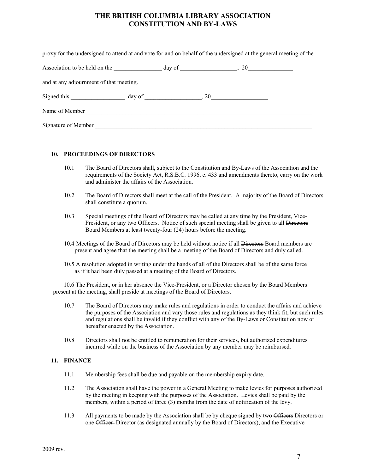| proxy for the undersigned to attend at and vote for and on behalf of the undersigned at the general meeting of the |  |  |  |
|--------------------------------------------------------------------------------------------------------------------|--|--|--|
|                                                                                                                    |  |  |  |
| and at any adjournment of that meeting.                                                                            |  |  |  |
|                                                                                                                    |  |  |  |
| Name of Member                                                                                                     |  |  |  |
| Signature of Member                                                                                                |  |  |  |

#### **10. PROCEEDINGS OF DIRECTORS**

- 10.1 The Board of Directors shall, subject to the Constitution and By-Laws of the Association and the requirements of the Society Act, R.S.B.C. 1996, c. 433 and amendments thereto, carry on the work and administer the affairs of the Association.
- 10.2 The Board of Directors shall meet at the call of the President. A majority of the Board of Directors shall constitute a quorum.
- 10.3 Special meetings of the Board of Directors may be called at any time by the President, Vice-President, or any two Officers. Notice of such special meeting shall be given to all Directors Board Members at least twenty-four (24) hours before the meeting.
- 10.4 Meetings of the Board of Directors may be held without notice if all **Directors** Board members are present and agree that the meeting shall be a meeting of the Board of Directors and duly called.
- 10.5 A resolution adopted in writing under the hands of all of the Directors shall be of the same force as if it had been duly passed at a meeting of the Board of Directors.

 10.6 The President, or in her absence the Vice-President, or a Director chosen by the Board Members present at the meeting, shall preside at meetings of the Board of Directors.

- 10.7 The Board of Directors may make rules and regulations in order to conduct the affairs and achieve the purposes of the Association and vary those rules and regulations as they think fit, but such rules and regulations shall be invalid if they conflict with any of the By-Laws or Constitution now or hereafter enacted by the Association.
- 10.8 Directors shall not be entitled to remuneration for their services, but authorized expenditures incurred while on the business of the Association by any member may be reimbursed.

#### **11. FINANCE**

- 11.1 Membership fees shall be due and payable on the membership expiry date.
- 11.2 The Association shall have the power in a General Meeting to make levies for purposes authorized by the meeting in keeping with the purposes of the Association. Levies shall be paid by the members, within a period of three (3) months from the date of notification of the levy.
- 11.3 All payments to be made by the Association shall be by cheque signed by two Officers Directors or one Officer Director (as designated annually by the Board of Directors), and the Executive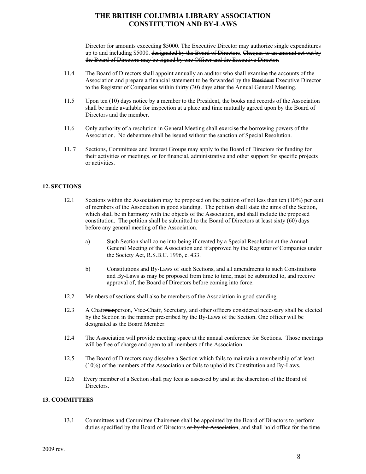Director for amounts exceeding \$5000. The Executive Director may authorize single expenditures up to and including \$5000. designated by the Board of Directors. Cheques to an amount set out by the Board of Directors may be signed by one Officer and the Executive Director.

- 11.4 The Board of Directors shall appoint annually an auditor who shall examine the accounts of the Association and prepare a financial statement to be forwarded by the **President** Executive Director to the Registrar of Companies within thirty (30) days after the Annual General Meeting.
- 11.5 Upon ten (10) days notice by a member to the President, the books and records of the Association shall be made available for inspection at a place and time mutually agreed upon by the Board of Directors and the member.
- 11.6 Only authority of a resolution in General Meeting shall exercise the borrowing powers of the Association. No debenture shall be issued without the sanction of Special Resolution.
- 11. 7 Sections, Committees and Interest Groups may apply to the Board of Directors for funding for their activities or meetings, or for financial, administrative and other support for specific projects or activities.

#### **12. SECTIONS**

- 12.1 Sections within the Association may be proposed on the petition of not less than ten (10%) per cent of members of the Association in good standing. The petition shall state the aims of the Section, which shall be in harmony with the objects of the Association, and shall include the proposed constitution. The petition shall be submitted to the Board of Directors at least sixty (60) days before any general meeting of the Association.
	- a) Such Section shall come into being if created by a Special Resolution at the Annual General Meeting of the Association and if approved by the Registrar of Companies under the Society Act, R.S.B.C. 1996, c. 433.
	- b) Constitutions and By-Laws of such Sections, and all amendments to such Constitutions and By-Laws as may be proposed from time to time, must be submitted to, and receive approval of, the Board of Directors before coming into force.
- 12.2 Members of sections shall also be members of the Association in good standing.
- 12.3 A Chairmanperson, Vice-Chair, Secretary, and other officers considered necessary shall be elected by the Section in the manner prescribed by the By-Laws of the Section. One officer will be designated as the Board Member.
- 12.4 The Association will provide meeting space at the annual conference for Sections. Those meetings will be free of charge and open to all members of the Association.
- 12.5 The Board of Directors may dissolve a Section which fails to maintain a membership of at least (10%) of the members of the Association or fails to uphold its Constitution and By-Laws.
- 12.6 Every member of a Section shall pay fees as assessed by and at the discretion of the Board of Directors.

#### **13. COMMITTEES**

13.1 Committees and Committee Chairsmen shall be appointed by the Board of Directors to perform duties specified by the Board of Directors or by the Association, and shall hold office for the time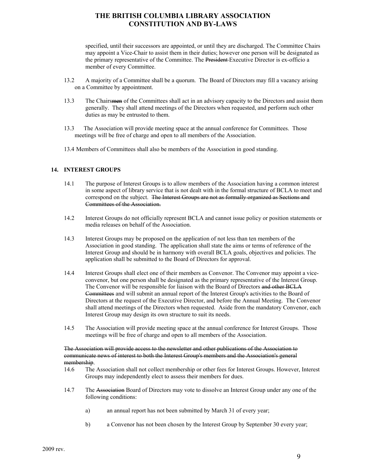specified, until their successors are appointed, or until they are discharged. The Committee Chairs may appoint a Vice-Chair to assist them in their duties; however one person will be designated as the primary representative of the Committee. The President Executive Director is ex-officio a member of every Committee.

- 13.2 A majority of a Committee shall be a quorum. The Board of Directors may fill a vacancy arising on a Committee by appointment.
- 13.3 The Chairs<del>men</del> of the Committees shall act in an advisory capacity to the Directors and assist them generally. They shall attend meetings of the Directors when requested, and perform such other duties as may be entrusted to them.
- 13.3 The Association will provide meeting space at the annual conference for Committees. Those meetings will be free of charge and open to all members of the Association.
- 13.4 Members of Committees shall also be members of the Association in good standing.

#### **14. INTEREST GROUPS**

- 14.1 The purpose of Interest Groups is to allow members of the Association having a common interest in some aspect of library service that is not dealt with in the formal structure of BCLA to meet and correspond on the subject. The Interest Groups are not as formally organized as Sections and Committees of the Association.
- 14.2 Interest Groups do not officially represent BCLA and cannot issue policy or position statements or media releases on behalf of the Association.
- 14.3 Interest Groups may be proposed on the application of not less than ten members of the Association in good standing. The application shall state the aims or terms of reference of the Interest Group and should be in harmony with overall BCLA goals, objectives and policies. The application shall be submitted to the Board of Directors for approval.
- 14.4 Interest Groups shall elect one of their members as Convenor. The Convenor may appoint a viceconvenor, but one person shall be designated as the primary representative of the Interest Group. The Convenor will be responsible for liaison with the Board of Directors and other BCLA Committees and will submit an annual report of the Interest Group's activities to the Board of Directors at the request of the Executive Director, and before the Annual Meeting. The Convenor shall attend meetings of the Directors when requested. Aside from the mandatory Convenor, each Interest Group may design its own structure to suit its needs.
- 14.5 The Association will provide meeting space at the annual conference for Interest Groups. Those meetings will be free of charge and open to all members of the Association.

#### The Association will provide access to the newsletter and other publications of the Association to communicate news of interest to both the Interest Group's members and the Association's general membership.

- 14.6 The Association shall not collect membership or other fees for Interest Groups. However, Interest Groups may independently elect to assess their members for dues.
- 14.7 The Association Board of Directors may vote to dissolve an Interest Group under any one of the following conditions:
	- a) an annual report has not been submitted by March 31 of every year;
	- b) a Convenor has not been chosen by the Interest Group by September 30 every year;